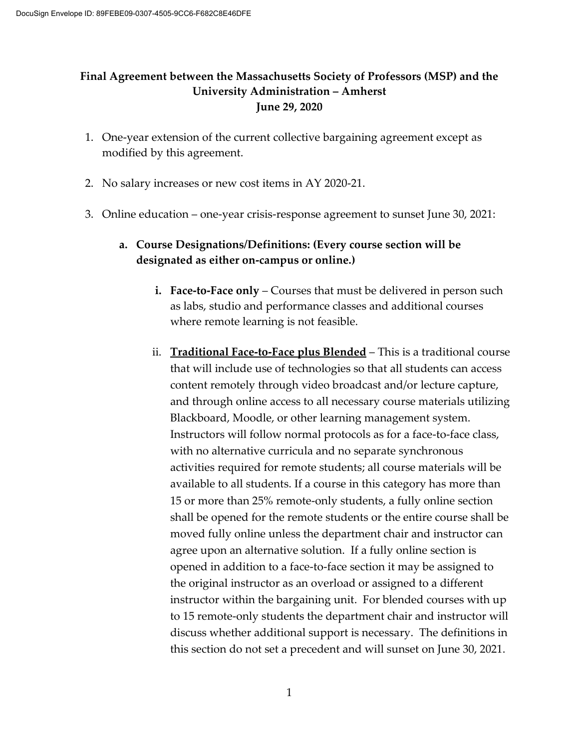## **Final Agreement between the Massachusetts Society of Professors (MSP) and the University Administration – Amherst June 29, 2020**

- 1. One-year extension of the current collective bargaining agreement except as modified by this agreement.
- 2. No salary increases or new cost items in AY 2020-21.
- 3. Online education one-year crisis-response agreement to sunset June 30, 2021:

## **a. Course Designations/Definitions: (Every course section will be designated as either on-campus or online.)**

- **i. Face-to-Face only** Courses that must be delivered in person such as labs, studio and performance classes and additional courses where remote learning is not feasible.
- ii. **Traditional Face-to-Face plus Blended** This is a traditional course that will include use of technologies so that all students can access content remotely through video broadcast and/or lecture capture, and through online access to all necessary course materials utilizing Blackboard, Moodle, or other learning management system. Instructors will follow normal protocols as for a face-to-face class, with no alternative curricula and no separate synchronous activities required for remote students; all course materials will be available to all students. If a course in this category has more than 15 or more than 25% remote-only students, a fully online section shall be opened for the remote students or the entire course shall be moved fully online unless the department chair and instructor can agree upon an alternative solution. If a fully online section is opened in addition to a face-to-face section it may be assigned to the original instructor as an overload or assigned to a different instructor within the bargaining unit. For blended courses with up to 15 remote-only students the department chair and instructor will discuss whether additional support is necessary. The definitions in this section do not set a precedent and will sunset on June 30, 2021.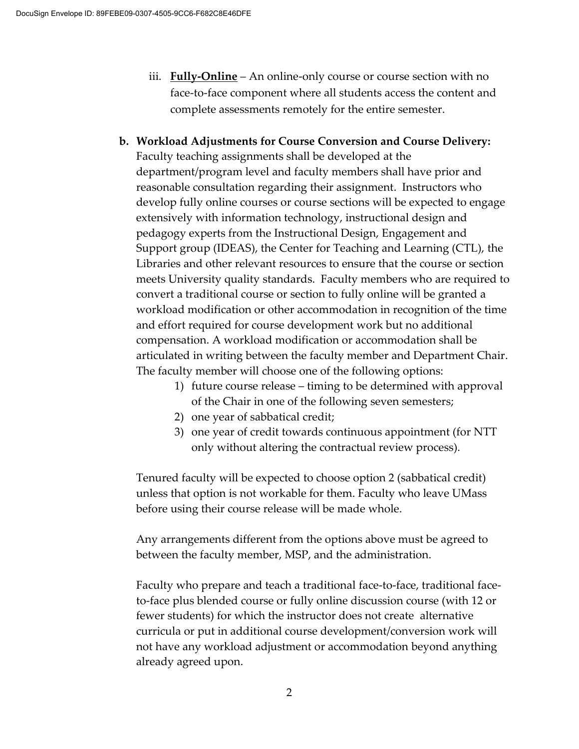- iii. **Fully-Online** An online-only course or course section with no face-to-face component where all students access the content and complete assessments remotely for the entire semester.
- **b. Workload Adjustments for Course Conversion and Course Delivery:** Faculty teaching assignments shall be developed at the department/program level and faculty members shall have prior and reasonable consultation regarding their assignment. Instructors who develop fully online courses or course sections will be expected to engage extensively with information technology, instructional design and pedagogy experts from the Instructional Design, Engagement and Support group (IDEAS), the Center for Teaching and Learning (CTL), the Libraries and other relevant resources to ensure that the course or section meets University quality standards. Faculty members who are required to convert a traditional course or section to fully online will be granted a workload modification or other accommodation in recognition of the time and effort required for course development work but no additional compensation. A workload modification or accommodation shall be articulated in writing between the faculty member and Department Chair. The faculty member will choose one of the following options:
	- 1) future course release timing to be determined with approval of the Chair in one of the following seven semesters;
	- 2) one year of sabbatical credit;
	- 3) one year of credit towards continuous appointment (for NTT only without altering the contractual review process).

Tenured faculty will be expected to choose option 2 (sabbatical credit) unless that option is not workable for them. Faculty who leave UMass before using their course release will be made whole.

Any arrangements different from the options above must be agreed to between the faculty member, MSP, and the administration.

Faculty who prepare and teach a traditional face-to-face, traditional faceto-face plus blended course or fully online discussion course (with 12 or fewer students) for which the instructor does not create alternative curricula or put in additional course development/conversion work will not have any workload adjustment or accommodation beyond anything already agreed upon.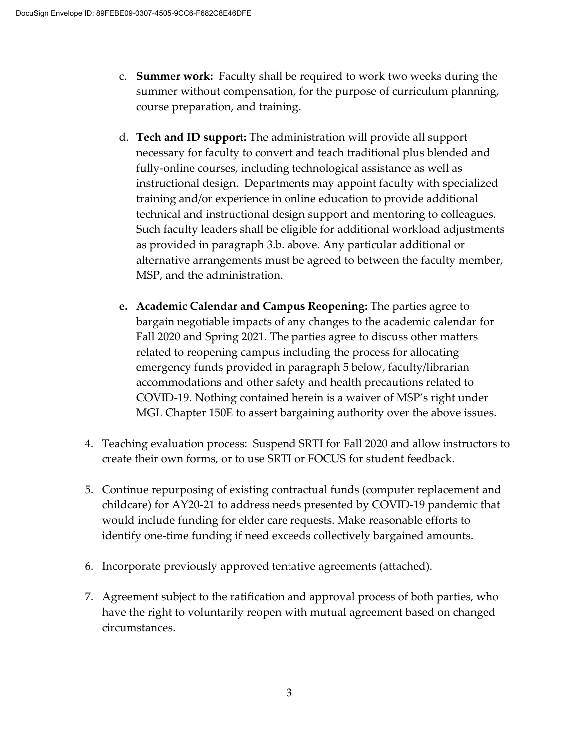- c. **Summer work:** Faculty shall be required to work two weeks during the summer without compensation, for the purpose of curriculum planning, course preparation, and training.
- d. **Tech and ID support:** The administration will provide all support necessary for faculty to convert and teach traditional plus blended and fully-online courses, including technological assistance as well as instructional design. Departments may appoint faculty with specialized training and/or experience in online education to provide additional technical and instructional design support and mentoring to colleagues. Such faculty leaders shall be eligible for additional workload adjustments as provided in paragraph 3.b. above. Any particular additional or alternative arrangements must be agreed to between the faculty member, MSP, and the administration.
- **e. Academic Calendar and Campus Reopening:** The parties agree to bargain negotiable impacts of any changes to the academic calendar for Fall 2020 and Spring 2021. The parties agree to discuss other matters related to reopening campus including the process for allocating emergency funds provided in paragraph 5 below, faculty/librarian accommodations and other safety and health precautions related to COVID-19. Nothing contained herein is a waiver of MSP's right under MGL Chapter 150E to assert bargaining authority over the above issues.
- 4. Teaching evaluation process: Suspend SRTI for Fall 2020 and allow instructors to create their own forms, or to use SRTI or FOCUS for student feedback.
- 5. Continue repurposing of existing contractual funds (computer replacement and childcare) for AY20-21 to address needs presented by COVID-19 pandemic that would include funding for elder care requests. Make reasonable efforts to identify one-time funding if need exceeds collectively bargained amounts.
- 6. Incorporate previously approved tentative agreements (attached).
- 7. Agreement subject to the ratification and approval process of both parties, who have the right to voluntarily reopen with mutual agreement based on changed circumstances.